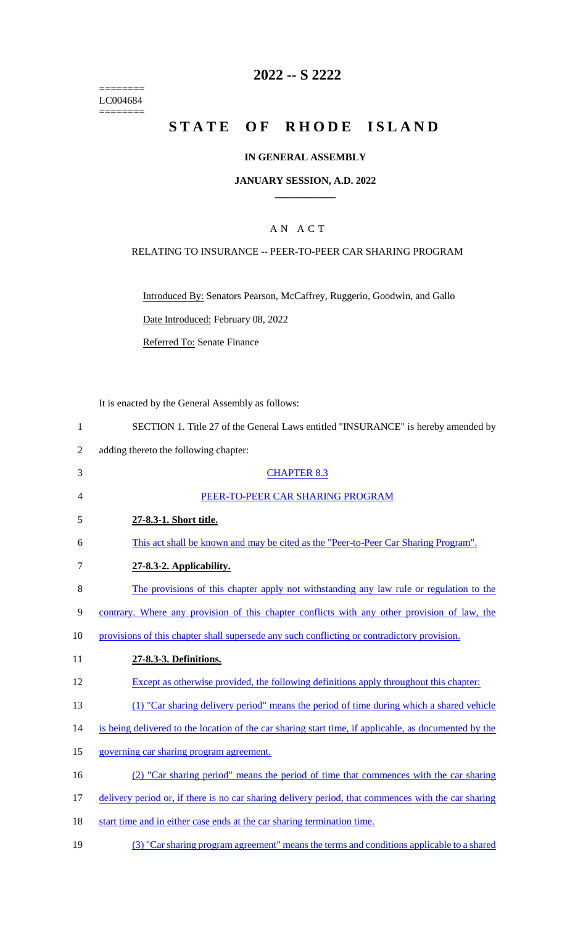======== LC004684 ========

### **2022 -- S 2222**

# STATE OF RHODE ISLAND

#### **IN GENERAL ASSEMBLY**

#### **JANUARY SESSION, A.D. 2022 \_\_\_\_\_\_\_\_\_\_\_\_**

#### A N A C T

#### RELATING TO INSURANCE -- PEER-TO-PEER CAR SHARING PROGRAM

Introduced By: Senators Pearson, McCaffrey, Ruggerio, Goodwin, and Gallo

Date Introduced: February 08, 2022

Referred To: Senate Finance

It is enacted by the General Assembly as follows:

| SECTION 1. Title 27 of the General Laws entitled "INSURANCE" is hereby amended by |  |
|-----------------------------------------------------------------------------------|--|
|-----------------------------------------------------------------------------------|--|

- 2 adding thereto the following chapter:
- 3 CHAPTER 8.3 4 PEER-TO-PEER CAR SHARING PROGRAM 5 **27-8.3-1. Short title.**  6 This act shall be known and may be cited as the "Peer-to-Peer Car Sharing Program". 7 **27-8.3-2. Applicability.**  8 The provisions of this chapter apply not withstanding any law rule or regulation to the 9 contrary. Where any provision of this chapter conflicts with any other provision of law, the 10 provisions of this chapter shall supersede any such conflicting or contradictory provision. 11 **27-8.3-3. Definitions.**  12 Except as otherwise provided, the following definitions apply throughout this chapter: 13 (1) "Car sharing delivery period" means the period of time during which a shared vehicle 14 is being delivered to the location of the car sharing start time, if applicable, as documented by the 15 governing car sharing program agreement. 16 (2) "Car sharing period" means the period of time that commences with the car sharing 17 delivery period or, if there is no car sharing delivery period, that commences with the car sharing 18 start time and in either case ends at the car sharing termination time.
- 19 (3) "Car sharing program agreement" means the terms and conditions applicable to a shared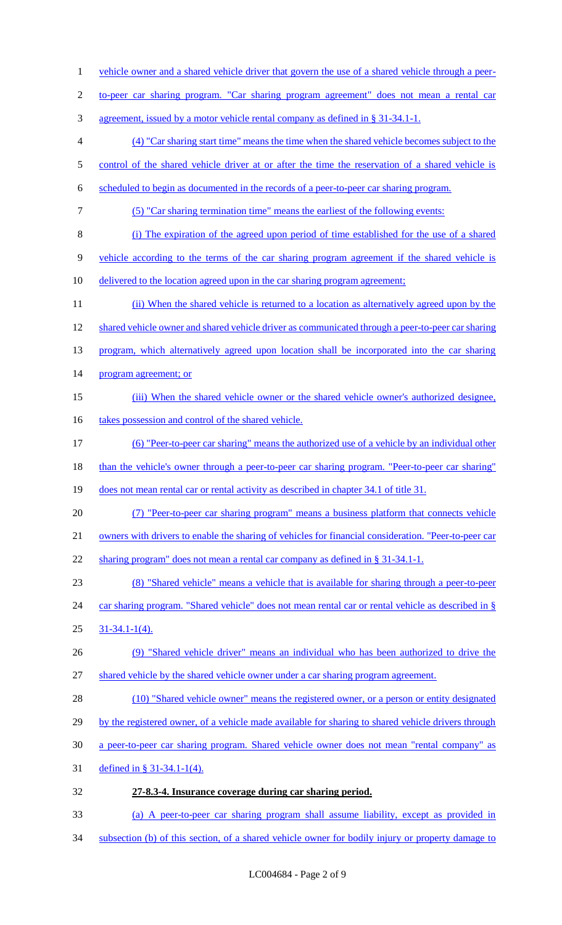1 vehicle owner and a shared vehicle driver that govern the use of a shared vehicle through a peer-2 to-peer car sharing program. "Car sharing program agreement" does not mean a rental car 3 agreement, issued by a motor vehicle rental company as defined in § 31-34.1-1. 4 (4) "Car sharing start time" means the time when the shared vehicle becomes subject to the 5 control of the shared vehicle driver at or after the time the reservation of a shared vehicle is 6 scheduled to begin as documented in the records of a peer-to-peer car sharing program. 7 (5) "Car sharing termination time" means the earliest of the following events: 8 (i) The expiration of the agreed upon period of time established for the use of a shared 9 vehicle according to the terms of the car sharing program agreement if the shared vehicle is 10 delivered to the location agreed upon in the car sharing program agreement; 11 (ii) When the shared vehicle is returned to a location as alternatively agreed upon by the 12 shared vehicle owner and shared vehicle driver as communicated through a peer-to-peer car sharing 13 program, which alternatively agreed upon location shall be incorporated into the car sharing 14 program agreement; or 15 (iii) When the shared vehicle owner or the shared vehicle owner's authorized designee, 16 takes possession and control of the shared vehicle. 17 (6) "Peer-to-peer car sharing" means the authorized use of a vehicle by an individual other 18 than the vehicle's owner through a peer-to-peer car sharing program. "Peer-to-peer car sharing" 19 does not mean rental car or rental activity as described in chapter 34.1 of title 31. 20 (7) "Peer-to-peer car sharing program" means a business platform that connects vehicle 21 owners with drivers to enable the sharing of vehicles for financial consideration. "Peer-to-peer car 22 sharing program" does not mean a rental car company as defined in § 31-34.1-1. 23 (8) "Shared vehicle" means a vehicle that is available for sharing through a peer-to-peer 24 car sharing program. "Shared vehicle" does not mean rental car or rental vehicle as described in § 25 31-34.1-1(4). 26 (9) "Shared vehicle driver" means an individual who has been authorized to drive the 27 shared vehicle by the shared vehicle owner under a car sharing program agreement. 28 (10) "Shared vehicle owner" means the registered owner, or a person or entity designated 29 by the registered owner, of a vehicle made available for sharing to shared vehicle drivers through 30 a peer-to-peer car sharing program. Shared vehicle owner does not mean "rental company" as 31 defined in § 31-34.1-1(4). 32 **27-8.3-4. Insurance coverage during car sharing period.**  33 (a) A peer-to-peer car sharing program shall assume liability, except as provided in 34 subsection (b) of this section, of a shared vehicle owner for bodily injury or property damage to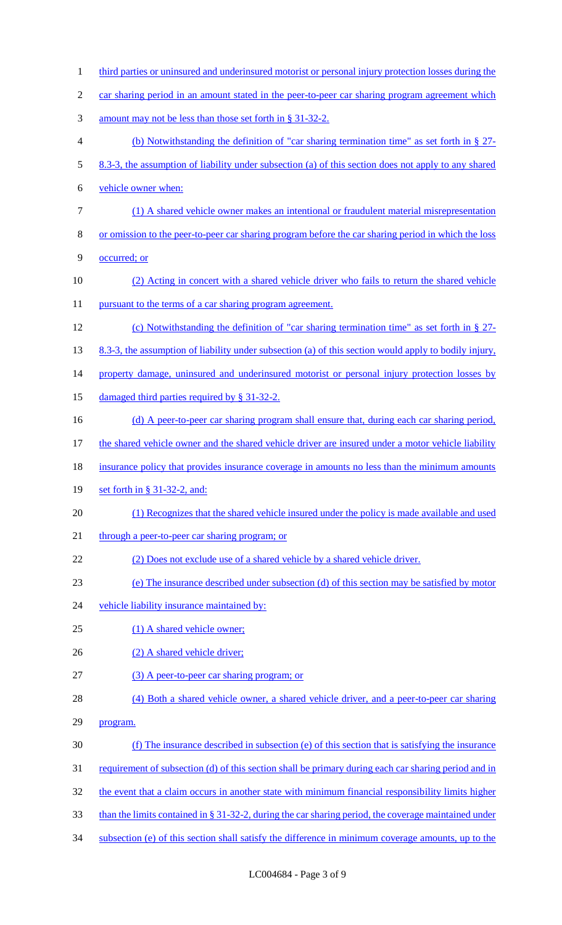1 third parties or uninsured and underinsured motorist or personal injury protection losses during the 2 car sharing period in an amount stated in the peer-to-peer car sharing program agreement which 3 amount may not be less than those set forth in § 31-32-2. 4 (b) Notwithstanding the definition of "car sharing termination time" as set forth in § 27- 5 8.3-3, the assumption of liability under subsection (a) of this section does not apply to any shared 6 vehicle owner when: 7 (1) A shared vehicle owner makes an intentional or fraudulent material misrepresentation 8 or omission to the peer-to-peer car sharing program before the car sharing period in which the loss 9 occurred; or 10 (2) Acting in concert with a shared vehicle driver who fails to return the shared vehicle 11 pursuant to the terms of a car sharing program agreement. 12 (c) Notwithstanding the definition of "car sharing termination time" as set forth in § 27- 13 8.3-3, the assumption of liability under subsection (a) of this section would apply to bodily injury, 14 property damage, uninsured and underinsured motorist or personal injury protection losses by 15 damaged third parties required by § 31-32-2. 16 (d) A peer-to-peer car sharing program shall ensure that, during each car sharing period, 17 the shared vehicle owner and the shared vehicle driver are insured under a motor vehicle liability 18 insurance policy that provides insurance coverage in amounts no less than the minimum amounts 19 set forth in § 31-32-2, and: 20 (1) Recognizes that the shared vehicle insured under the policy is made available and used 21 through a peer-to-peer car sharing program; or 22 (2) Does not exclude use of a shared vehicle by a shared vehicle driver. 23 (e) The insurance described under subsection (d) of this section may be satisfied by motor 24 vehicle liability insurance maintained by: 25 (1) A shared vehicle owner; 26 (2) A shared vehicle driver; 27 (3) A peer-to-peer car sharing program; or 28 (4) Both a shared vehicle owner, a shared vehicle driver, and a peer-to-peer car sharing 29 program. 30 (f) The insurance described in subsection (e) of this section that is satisfying the insurance 31 requirement of subsection (d) of this section shall be primary during each car sharing period and in 32 the event that a claim occurs in another state with minimum financial responsibility limits higher 33 than the limits contained in § 31-32-2, during the car sharing period, the coverage maintained under 34 subsection (e) of this section shall satisfy the difference in minimum coverage amounts, up to the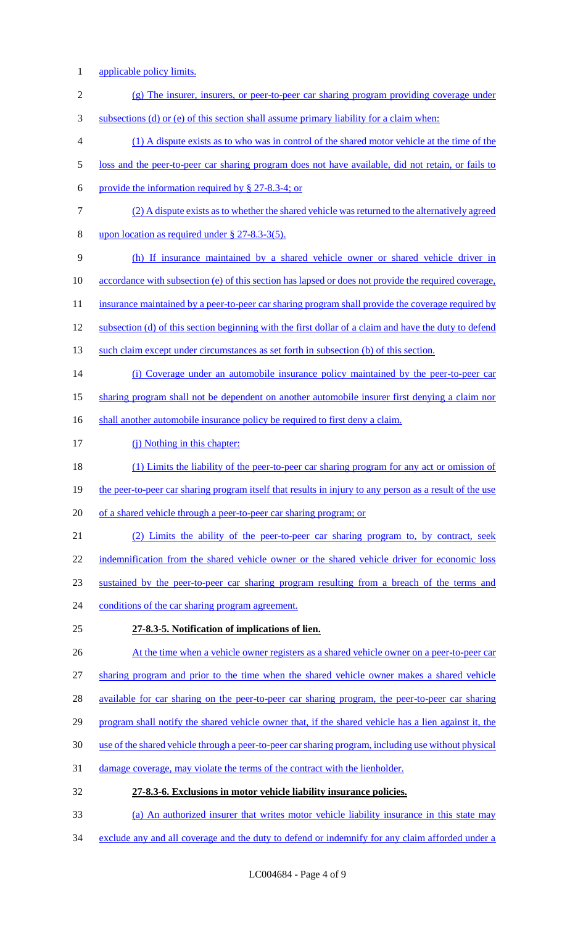- 1 applicable policy limits.
- 2 (g) The insurer, insurers, or peer-to-peer car sharing program providing coverage under
- 3 subsections (d) or (e) of this section shall assume primary liability for a claim when:
- 4 (1) A dispute exists as to who was in control of the shared motor vehicle at the time of the
- 5 loss and the peer-to-peer car sharing program does not have available, did not retain, or fails to
- 6 provide the information required by  $\S$  27-8.3-4; or
- 7 (2) A dispute exists as to whether the shared vehicle was returned to the alternatively agreed
- 8 upon location as required under § 27-8.3-3(5).
- 9 (h) If insurance maintained by a shared vehicle owner or shared vehicle driver in
- 10 accordance with subsection (e) of this section has lapsed or does not provide the required coverage,
- 11 insurance maintained by a peer-to-peer car sharing program shall provide the coverage required by
- 12 subsection (d) of this section beginning with the first dollar of a claim and have the duty to defend
- 13 such claim except under circumstances as set forth in subsection (b) of this section.
- 14 (i) Coverage under an automobile insurance policy maintained by the peer-to-peer car
- 15 sharing program shall not be dependent on another automobile insurer first denying a claim nor
- 16 shall another automobile insurance policy be required to first deny a claim.
- 17 (j) Nothing in this chapter:
- 18 (1) Limits the liability of the peer-to-peer car sharing program for any act or omission of
- 19 the peer-to-peer car sharing program itself that results in injury to any person as a result of the use
- 20 of a shared vehicle through a peer-to-peer car sharing program; or
- 21 (2) Limits the ability of the peer-to-peer car sharing program to, by contract, seek 22 indemnification from the shared vehicle owner or the shared vehicle driver for economic loss 23 sustained by the peer-to-peer car sharing program resulting from a breach of the terms and 24 conditions of the car sharing program agreement.
- 25 **27-8.3-5. Notification of implications of lien.**
- 26 At the time when a vehicle owner registers as a shared vehicle owner on a peer-to-peer car
- 27 sharing program and prior to the time when the shared vehicle owner makes a shared vehicle
- 28 available for car sharing on the peer-to-peer car sharing program, the peer-to-peer car sharing
- 29 program shall notify the shared vehicle owner that, if the shared vehicle has a lien against it, the
- 30 use of the shared vehicle through a peer-to-peer car sharing program, including use without physical
- 31 damage coverage, may violate the terms of the contract with the lienholder.
- 32 **27-8.3-6. Exclusions in motor vehicle liability insurance policies.**
- 33 (a) An authorized insurer that writes motor vehicle liability insurance in this state may
- 34 exclude any and all coverage and the duty to defend or indemnify for any claim afforded under a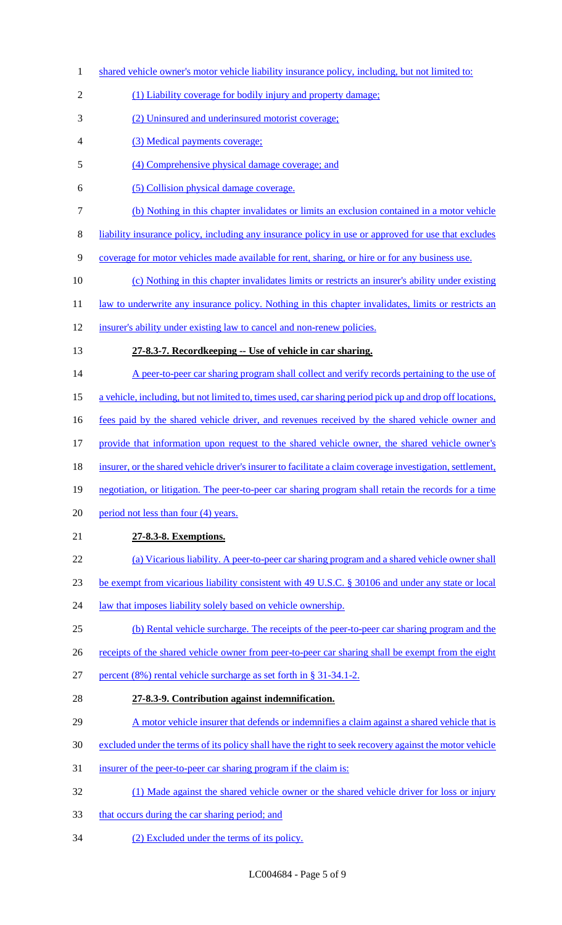1 shared vehicle owner's motor vehicle liability insurance policy, including, but not limited to: 2 (1) Liability coverage for bodily injury and property damage; (2) Uninsured and underinsured motorist coverage; (3) Medical payments coverage; (4) Comprehensive physical damage coverage; and (5) Collision physical damage coverage. (b) Nothing in this chapter invalidates or limits an exclusion contained in a motor vehicle liability insurance policy, including any insurance policy in use or approved for use that excludes coverage for motor vehicles made available for rent, sharing, or hire or for any business use. (c) Nothing in this chapter invalidates limits or restricts an insurer's ability under existing 11 law to underwrite any insurance policy. Nothing in this chapter invalidates, limits or restricts an insurer's ability under existing law to cancel and non-renew policies. **27-8.3-7. Recordkeeping -- Use of vehicle in car sharing.**  14 A peer-to-peer car sharing program shall collect and verify records pertaining to the use of a vehicle, including, but not limited to, times used, car sharing period pick up and drop off locations, 16 fees paid by the shared vehicle driver, and revenues received by the shared vehicle owner and provide that information upon request to the shared vehicle owner, the shared vehicle owner's 18 insurer, or the shared vehicle driver's insurer to facilitate a claim coverage investigation, settlement, negotiation, or litigation. The peer-to-peer car sharing program shall retain the records for a time 20 period not less than four (4) years. **27-8.3-8. Exemptions.**  (a) Vicarious liability. A peer-to-peer car sharing program and a shared vehicle owner shall be exempt from vicarious liability consistent with 49 U.S.C. § 30106 and under any state or local 24 law that imposes liability solely based on vehicle ownership. (b) Rental vehicle surcharge. The receipts of the peer-to-peer car sharing program and the 26 receipts of the shared vehicle owner from peer-to-peer car sharing shall be exempt from the eight percent (8%) rental vehicle surcharge as set forth in § 31-34.1-2. **27-8.3-9. Contribution against indemnification.**  A motor vehicle insurer that defends or indemnifies a claim against a shared vehicle that is excluded under the terms of its policy shall have the right to seek recovery against the motor vehicle 31 insurer of the peer-to-peer car sharing program if the claim is: (1) Made against the shared vehicle owner or the shared vehicle driver for loss or injury 33 that occurs during the car sharing period; and (2) Excluded under the terms of its policy.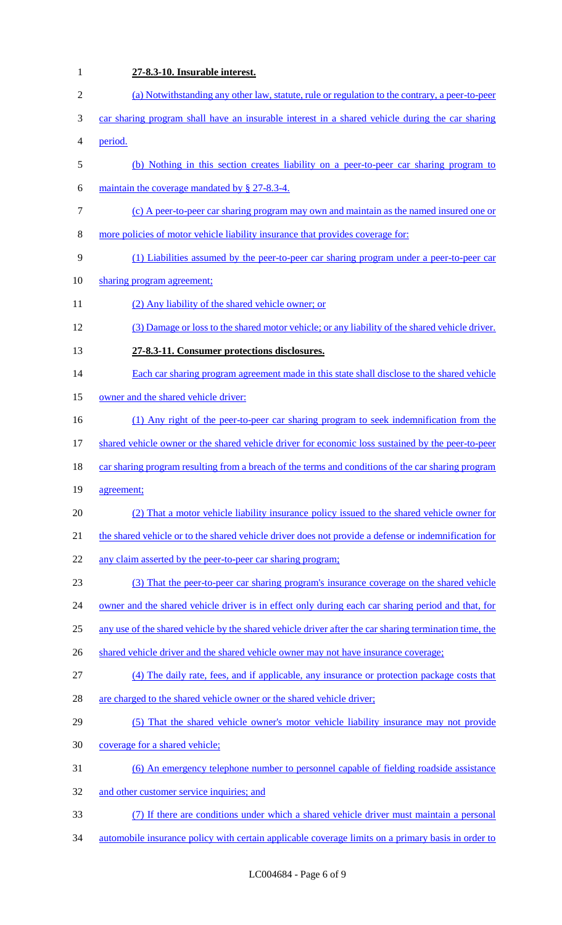**27-8.3-10. Insurable interest.**  (a) Notwithstanding any other law, statute, rule or regulation to the contrary, a peer-to-peer car sharing program shall have an insurable interest in a shared vehicle during the car sharing period. (b) Nothing in this section creates liability on a peer-to-peer car sharing program to maintain the coverage mandated by § 27-8.3-4. (c) A peer-to-peer car sharing program may own and maintain as the named insured one or more policies of motor vehicle liability insurance that provides coverage for: (1) Liabilities assumed by the peer-to-peer car sharing program under a peer-to-peer car 10 sharing program agreement; (2) Any liability of the shared vehicle owner; or (3) Damage or loss to the shared motor vehicle; or any liability of the shared vehicle driver. **27-8.3-11. Consumer protections disclosures.**  14 Each car sharing program agreement made in this state shall disclose to the shared vehicle 15 owner and the shared vehicle driver: (1) Any right of the peer-to-peer car sharing program to seek indemnification from the 17 shared vehicle owner or the shared vehicle driver for economic loss sustained by the peer-to-peer 18 car sharing program resulting from a breach of the terms and conditions of the car sharing program agreement; (2) That a motor vehicle liability insurance policy issued to the shared vehicle owner for 21 the shared vehicle or to the shared vehicle driver does not provide a defense or indemnification for 22 any claim asserted by the peer-to-peer car sharing program; (3) That the peer-to-peer car sharing program's insurance coverage on the shared vehicle 24 owner and the shared vehicle driver is in effect only during each car sharing period and that, for any use of the shared vehicle by the shared vehicle driver after the car sharing termination time, the 26 shared vehicle driver and the shared vehicle owner may not have insurance coverage; (4) The daily rate, fees, and if applicable, any insurance or protection package costs that 28 are charged to the shared vehicle owner or the shared vehicle driver; (5) That the shared vehicle owner's motor vehicle liability insurance may not provide coverage for a shared vehicle; (6) An emergency telephone number to personnel capable of fielding roadside assistance 32 and other customer service inquiries; and (7) If there are conditions under which a shared vehicle driver must maintain a personal automobile insurance policy with certain applicable coverage limits on a primary basis in order to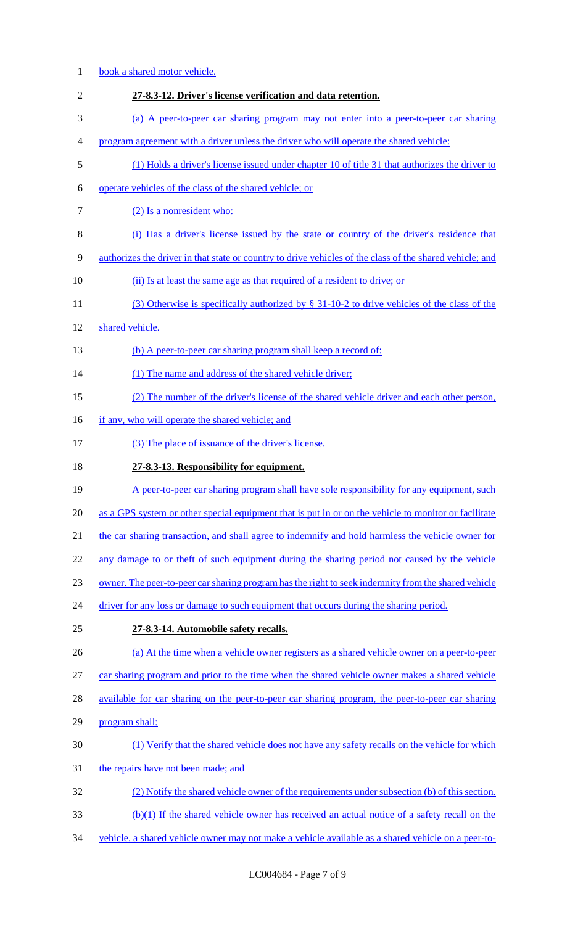| $\mathbf{1}$   | book a shared motor vehicle.                                                                             |
|----------------|----------------------------------------------------------------------------------------------------------|
| $\overline{2}$ | 27-8.3-12. Driver's license verification and data retention.                                             |
| 3              | (a) A peer-to-peer car sharing program may not enter into a peer-to-peer car sharing                     |
| 4              | program agreement with a driver unless the driver who will operate the shared vehicle:                   |
| 5              | (1) Holds a driver's license issued under chapter 10 of title 31 that authorizes the driver to           |
| 6              | operate vehicles of the class of the shared vehicle; or                                                  |
| $\tau$         | (2) Is a nonresident who:                                                                                |
| $8\,$          | (i) Has a driver's license issued by the state or country of the driver's residence that                 |
| 9              | authorizes the driver in that state or country to drive vehicles of the class of the shared vehicle; and |
| 10             | (ii) Is at least the same age as that required of a resident to drive; or                                |
| 11             | (3) Otherwise is specifically authorized by $\S$ 31-10-2 to drive vehicles of the class of the           |
| 12             | shared vehicle.                                                                                          |
| 13             | (b) A peer-to-peer car sharing program shall keep a record of:                                           |
| 14             | (1) The name and address of the shared vehicle driver;                                                   |
| 15             | (2) The number of the driver's license of the shared vehicle driver and each other person,               |
| 16             | if any, who will operate the shared vehicle; and                                                         |
| 17             | (3) The place of issuance of the driver's license.                                                       |
|                |                                                                                                          |
| 18             | 27-8.3-13. Responsibility for equipment.                                                                 |
| 19             | A peer-to-peer car sharing program shall have sole responsibility for any equipment, such                |
| 20             | as a GPS system or other special equipment that is put in or on the vehicle to monitor or facilitate     |
| 21             | the car sharing transaction, and shall agree to indemnify and hold harmless the vehicle owner for        |
| 22             | any damage to or theft of such equipment during the sharing period not caused by the vehicle             |
| 23             | owner. The peer-to-peer car sharing program has the right to seek indemnity from the shared vehicle      |
| 24             | driver for any loss or damage to such equipment that occurs during the sharing period.                   |
| 25             | 27-8.3-14. Automobile safety recalls.                                                                    |
| 26             | (a) At the time when a vehicle owner registers as a shared vehicle owner on a peer-to-peer               |
| 27             | car sharing program and prior to the time when the shared vehicle owner makes a shared vehicle           |
| 28             | available for car sharing on the peer-to-peer car sharing program, the peer-to-peer car sharing          |
| 29             | program shall:                                                                                           |
| 30             | (1) Verify that the shared vehicle does not have any safety recalls on the vehicle for which             |
| 31             | the repairs have not been made; and                                                                      |
| 32             | (2) Notify the shared vehicle owner of the requirements under subsection (b) of this section.            |
| 33             | (b)(1) If the shared vehicle owner has received an actual notice of a safety recall on the               |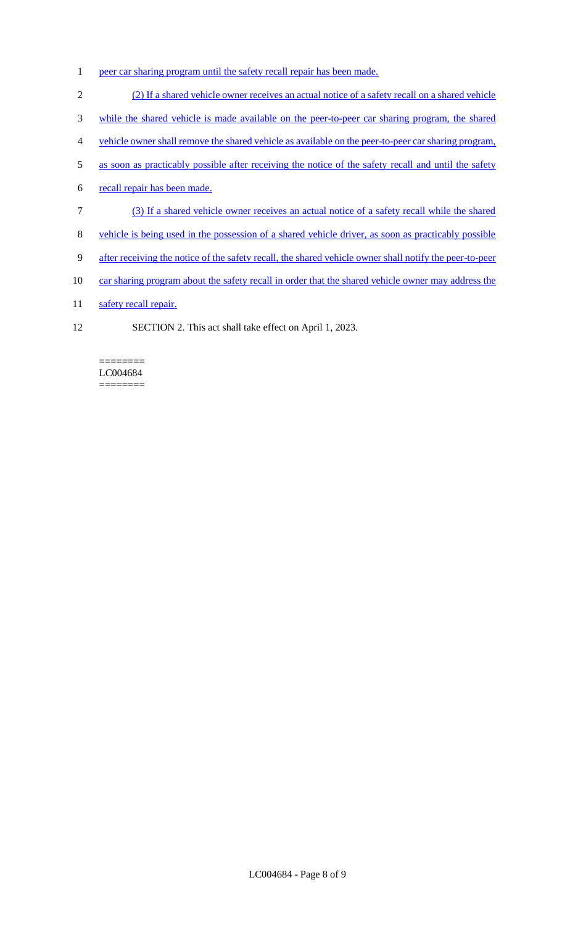- 1 peer car sharing program until the safety recall repair has been made.
- 2 (2) If a shared vehicle owner receives an actual notice of a safety recall on a shared vehicle
- 3 while the shared vehicle is made available on the peer-to-peer car sharing program, the shared
- 4 vehicle owner shall remove the shared vehicle as available on the peer-to-peer car sharing program,
- 5 as soon as practicably possible after receiving the notice of the safety recall and until the safety
- 6 recall repair has been made.
- 7 (3) If a shared vehicle owner receives an actual notice of a safety recall while the shared
- 8 vehicle is being used in the possession of a shared vehicle driver, as soon as practicably possible
- 9 after receiving the notice of the safety recall, the shared vehicle owner shall notify the peer-to-peer
- 10 car sharing program about the safety recall in order that the shared vehicle owner may address the
- 11 safety recall repair.
- 12 SECTION 2. This act shall take effect on April 1, 2023.

======== LC004684 ========